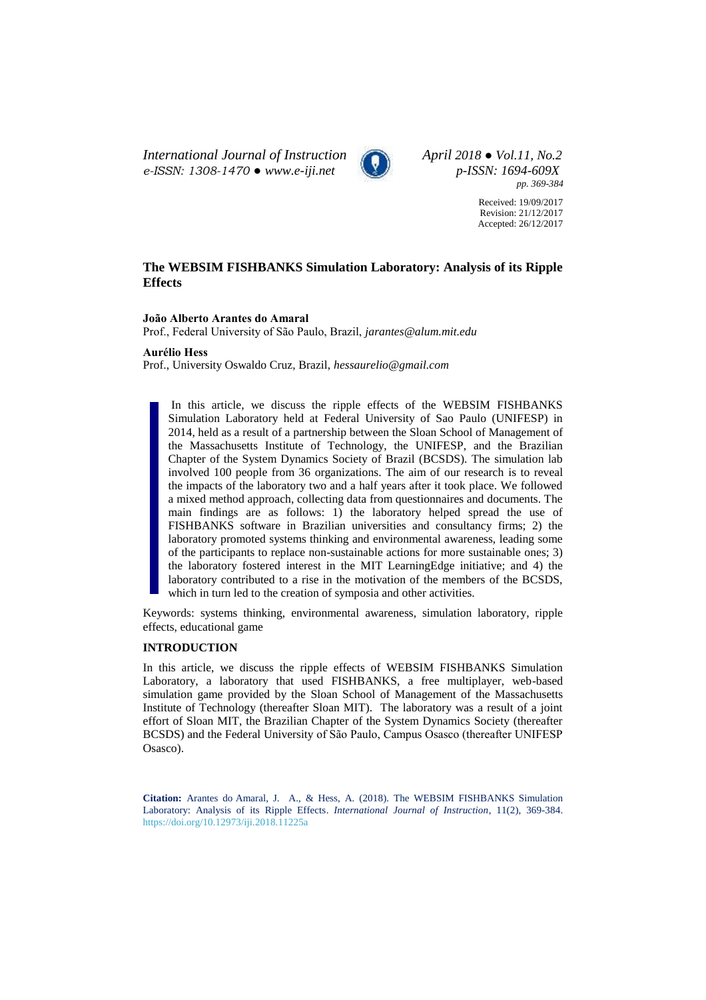*International Journal of Instruction April 2018 ● Vol.11, No.2 e-ISSN: 1308-1470 ● [www.e-iji.net](http://www.e-iji.net/) p-ISSN: 1694-609X*



*pp. 369-384*

Received: 19/09/2017 Revision: 21/12/2017 Accepted: 26/12/2017

# **The WEBSIM FISHBANKS Simulation Laboratory: Analysis of its Ripple Effects**

#### **João Alberto Arantes do Amaral**

Prof., Federal University of São Paulo, Brazil, *jarantes@alum.mit.edu*

## **Aurélio Hess**

Prof., University Oswaldo Cruz, Brazil, *hessaurelio@gmail.com*

In this article, we discuss the ripple effects of the WEBSIM FISHBANKS Simulation Laboratory held at Federal University of Sao Paulo (UNIFESP) in 2014, held as a result of a partnership between the Sloan School of Management of the Massachusetts Institute of Technology, the UNIFESP, and the Brazilian Chapter of the System Dynamics Society of Brazil (BCSDS). The simulation lab involved 100 people from 36 organizations. The aim of our research is to reveal the impacts of the laboratory two and a half years after it took place. We followed a mixed method approach, collecting data from questionnaires and documents. The main findings are as follows: 1) the laboratory helped spread the use of FISHBANKS software in Brazilian universities and consultancy firms; 2) the laboratory promoted systems thinking and environmental awareness, leading some of the participants to replace non-sustainable actions for more sustainable ones; 3) the laboratory fostered interest in the MIT LearningEdge initiative; and 4) the laboratory contributed to a rise in the motivation of the members of the BCSDS, which in turn led to the creation of symposia and other activities.

Keywords: systems thinking, environmental awareness, simulation laboratory, ripple effects, educational game

# **INTRODUCTION**

In this article, we discuss the ripple effects of WEBSIM FISHBANKS Simulation Laboratory, a laboratory that used FISHBANKS, a free multiplayer, web-based simulation game provided by the Sloan School of Management of the Massachusetts Institute of Technology (thereafter Sloan MIT). The laboratory was a result of a joint effort of Sloan MIT, the Brazilian Chapter of the System Dynamics Society (thereafter BCSDS) and the Federal University of São Paulo, Campus Osasco (thereafter UNIFESP Osasco).

**Citation:** Arantes do Amaral, J. A., & Hess, A. (2018). The WEBSIM FISHBANKS Simulation Laboratory: Analysis of its Ripple Effects. *International Journal of Instruction*, 11(2), 369-384. <https://doi.org/10.12973/iji.2018.11225a>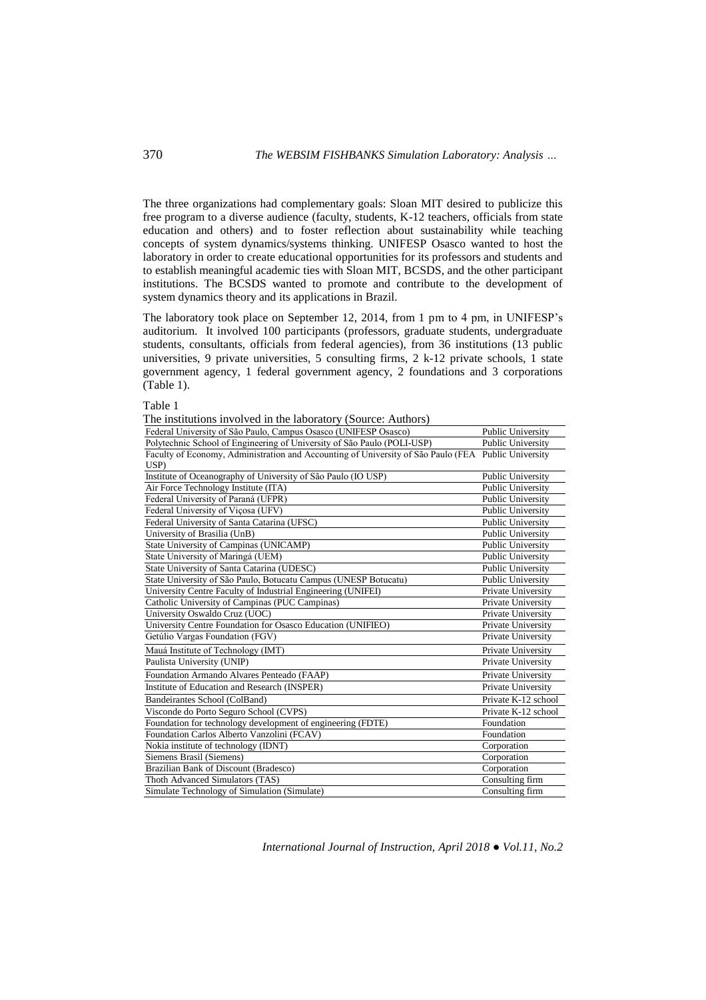The three organizations had complementary goals: Sloan MIT desired to publicize this free program to a diverse audience (faculty, students, K-12 teachers, officials from state education and others) and to foster reflection about sustainability while teaching concepts of system dynamics/systems thinking. UNIFESP Osasco wanted to host the laboratory in order to create educational opportunities for its professors and students and to establish meaningful academic ties with Sloan MIT, BCSDS, and the other participant institutions. The BCSDS wanted to promote and contribute to the development of system dynamics theory and its applications in Brazil.

The laboratory took place on September 12, 2014, from 1 pm to 4 pm, in UNIFESP's auditorium. It involved 100 participants (professors, graduate students, undergraduate students, consultants, officials from federal agencies), from 36 institutions (13 public universities, 9 private universities, 5 consulting firms, 2 k-12 private schools, 1 state government agency, 1 federal government agency, 2 foundations and 3 corporations (Table 1).

Table 1

| The institutions involved in the laboratory (Source: Authors) |  |  |  |
|---------------------------------------------------------------|--|--|--|
|                                                               |  |  |  |

| Federal University of São Paulo, Campus Osasco (UNIFESP Osasco)                                     | Public University        |  |
|-----------------------------------------------------------------------------------------------------|--------------------------|--|
| Polytechnic School of Engineering of University of São Paulo (POLI-USP)                             | Public University        |  |
| Faculty of Economy, Administration and Accounting of University of São Paulo (FEA Public University |                          |  |
| USP)                                                                                                |                          |  |
| Institute of Oceanography of University of São Paulo (IO USP)                                       | Public University        |  |
| Air Force Technology Institute (ITA)                                                                | Public University        |  |
| Federal University of Paraná (UFPR)                                                                 | Public University        |  |
| Federal University of Viçosa (UFV)                                                                  | Public University        |  |
| Federal University of Santa Catarina (UFSC)                                                         | <b>Public University</b> |  |
| University of Brasilia (UnB)                                                                        | Public University        |  |
| State University of Campinas (UNICAMP)                                                              | Public University        |  |
| State University of Maringá (UEM)                                                                   | Public University        |  |
| State University of Santa Catarina (UDESC)                                                          | Public University        |  |
| State University of São Paulo, Botucatu Campus (UNESP Botucatu)                                     | Public University        |  |
| University Centre Faculty of Industrial Engineering (UNIFEI)                                        | Private University       |  |
| Catholic University of Campinas (PUC Campinas)                                                      | Private University       |  |
| University Oswaldo Cruz (UOC)                                                                       | Private University       |  |
| University Centre Foundation for Osasco Education (UNIFIEO)                                         | Private University       |  |
| Getúlio Vargas Foundation (FGV)                                                                     | Private University       |  |
| Mauá Institute of Technology (IMT)                                                                  | Private University       |  |
| Paulista University (UNIP)                                                                          | Private University       |  |
| Foundation Armando Alvares Penteado (FAAP)                                                          | Private University       |  |
| Institute of Education and Research (INSPER)                                                        | Private University       |  |
| Bandeirantes School (ColBand)                                                                       | Private K-12 school      |  |
| Visconde do Porto Seguro School (CVPS)                                                              | Private K-12 school      |  |
| Foundation for technology development of engineering (FDTE)                                         | Foundation               |  |
| Foundation Carlos Alberto Vanzolini (FCAV)                                                          | Foundation               |  |
| Nokia institute of technology (IDNT)                                                                | Corporation              |  |
| Siemens Brasil (Siemens)                                                                            | Corporation              |  |
| Brazilian Bank of Discount (Bradesco)                                                               | Corporation              |  |
| Thoth Advanced Simulators (TAS)                                                                     | Consulting firm          |  |
| Simulate Technology of Simulation (Simulate)                                                        | Consulting firm          |  |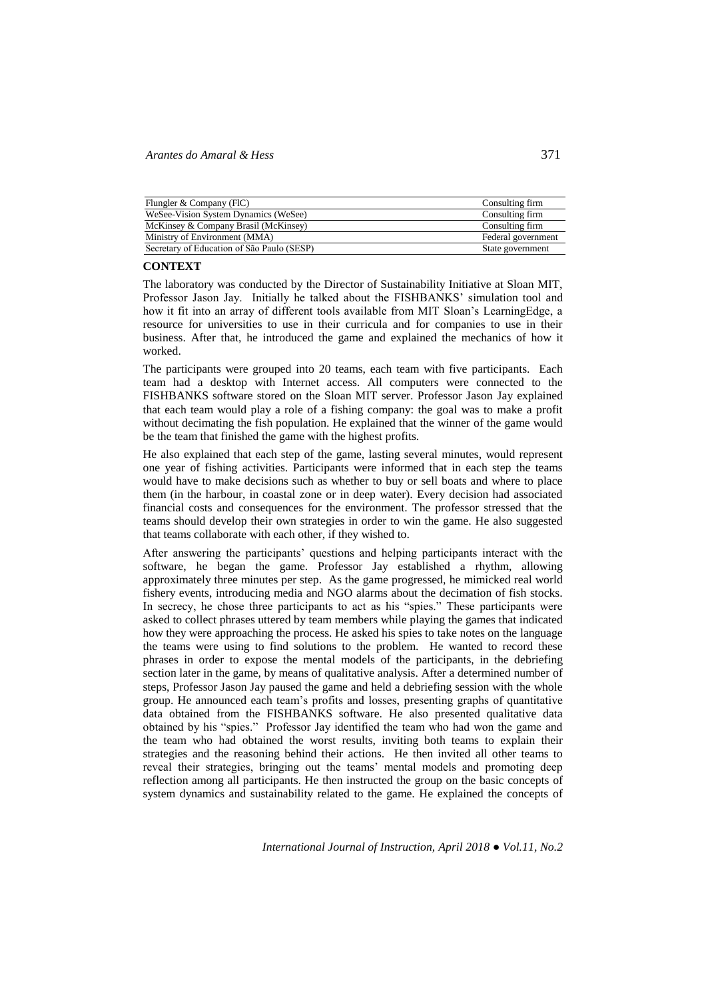| Flungler & Company (FIC)                   | Consulting firm    |
|--------------------------------------------|--------------------|
| WeSee-Vision System Dynamics (WeSee)       | Consulting firm    |
| McKinsey & Company Brasil (McKinsey)       | Consulting firm    |
| Ministry of Environment (MMA)              | Federal government |
| Secretary of Education of São Paulo (SESP) | State government   |

## **CONTEXT**

The laboratory was conducted by the Director of Sustainability Initiative at Sloan MIT, Professor Jason Jay. Initially he talked about the FISHBANKS' simulation tool and how it fit into an array of different tools available from MIT Sloan's LearningEdge, a resource for universities to use in their curricula and for companies to use in their business. After that, he introduced the game and explained the mechanics of how it worked.

The participants were grouped into 20 teams, each team with five participants. Each team had a desktop with Internet access. All computers were connected to the FISHBANKS software stored on the Sloan MIT server. Professor Jason Jay explained that each team would play a role of a fishing company: the goal was to make a profit without decimating the fish population. He explained that the winner of the game would be the team that finished the game with the highest profits.

He also explained that each step of the game, lasting several minutes, would represent one year of fishing activities. Participants were informed that in each step the teams would have to make decisions such as whether to buy or sell boats and where to place them (in the harbour, in coastal zone or in deep water). Every decision had associated financial costs and consequences for the environment. The professor stressed that the teams should develop their own strategies in order to win the game. He also suggested that teams collaborate with each other, if they wished to.

After answering the participants' questions and helping participants interact with the software, he began the game. Professor Jay established a rhythm, allowing approximately three minutes per step. As the game progressed, he mimicked real world fishery events, introducing media and NGO alarms about the decimation of fish stocks. In secrecy, he chose three participants to act as his "spies." These participants were asked to collect phrases uttered by team members while playing the games that indicated how they were approaching the process. He asked his spies to take notes on the language the teams were using to find solutions to the problem. He wanted to record these phrases in order to expose the mental models of the participants, in the debriefing section later in the game, by means of qualitative analysis. After a determined number of steps, Professor Jason Jay paused the game and held a debriefing session with the whole group. He announced each team's profits and losses, presenting graphs of quantitative data obtained from the FISHBANKS software. He also presented qualitative data obtained by his "spies." Professor Jay identified the team who had won the game and the team who had obtained the worst results, inviting both teams to explain their strategies and the reasoning behind their actions. He then invited all other teams to reveal their strategies, bringing out the teams' mental models and promoting deep reflection among all participants. He then instructed the group on the basic concepts of system dynamics and sustainability related to the game. He explained the concepts of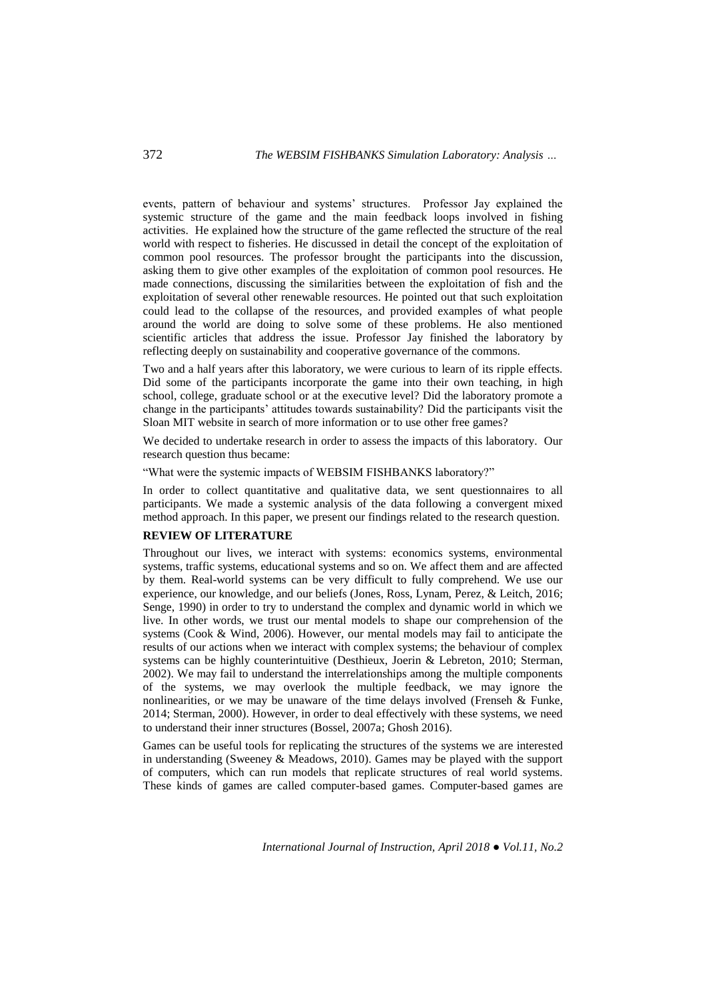events, pattern of behaviour and systems' structures. Professor Jay explained the systemic structure of the game and the main feedback loops involved in fishing activities. He explained how the structure of the game reflected the structure of the real world with respect to fisheries. He discussed in detail the concept of the exploitation of common pool resources. The professor brought the participants into the discussion, asking them to give other examples of the exploitation of common pool resources. He made connections, discussing the similarities between the exploitation of fish and the exploitation of several other renewable resources. He pointed out that such exploitation could lead to the collapse of the resources, and provided examples of what people around the world are doing to solve some of these problems. He also mentioned scientific articles that address the issue. Professor Jay finished the laboratory by reflecting deeply on sustainability and cooperative governance of the commons.

Two and a half years after this laboratory, we were curious to learn of its ripple effects. Did some of the participants incorporate the game into their own teaching, in high school, college, graduate school or at the executive level? Did the laboratory promote a change in the participants' attitudes towards sustainability? Did the participants visit the Sloan MIT website in search of more information or to use other free games?

We decided to undertake research in order to assess the impacts of this laboratory. Our research question thus became:

"What were the systemic impacts of WEBSIM FISHBANKS laboratory?"

In order to collect quantitative and qualitative data, we sent questionnaires to all participants. We made a systemic analysis of the data following a convergent mixed method approach. In this paper, we present our findings related to the research question.

## **REVIEW OF LITERATURE**

Throughout our lives, we interact with systems: economics systems, environmental systems, traffic systems, educational systems and so on. We affect them and are affected by them. Real-world systems can be very difficult to fully comprehend. We use our experience, our knowledge, and our beliefs (Jones, Ross, Lynam, Perez, & Leitch, 2016; Senge, 1990) in order to try to understand the complex and dynamic world in which we live. In other words, we trust our mental models to shape our comprehension of the systems (Cook & Wind, 2006). However, our mental models may fail to anticipate the results of our actions when we interact with complex systems; the behaviour of complex systems can be highly counterintuitive (Desthieux, Joerin & Lebreton, 2010; Sterman, 2002). We may fail to understand the interrelationships among the multiple components of the systems, we may overlook the multiple feedback, we may ignore the nonlinearities, or we may be unaware of the time delays involved (Frenseh & Funke, 2014; Sterman, 2000). However, in order to deal effectively with these systems, we need to understand their inner structures (Bossel, 2007a; Ghosh 2016).

Games can be useful tools for replicating the structures of the systems we are interested in understanding (Sweeney & Meadows, 2010). Games may be played with the support of computers, which can run models that replicate structures of real world systems. These kinds of games are called computer-based games. Computer-based games are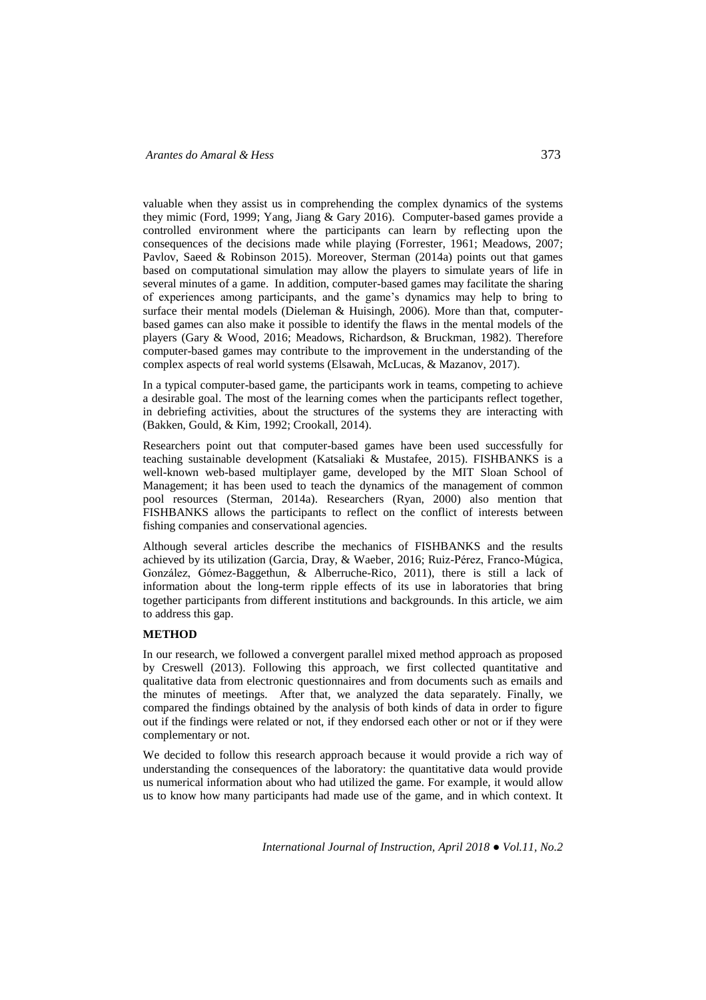valuable when they assist us in comprehending the complex dynamics of the systems they mimic (Ford, 1999; Yang, Jiang & Gary 2016). Computer-based games provide a controlled environment where the participants can learn by reflecting upon the consequences of the decisions made while playing (Forrester, 1961; Meadows, 2007; Pavlov, Saeed & Robinson 2015). Moreover, Sterman (2014a) points out that games based on computational simulation may allow the players to simulate years of life in several minutes of a game. In addition, computer-based games may facilitate the sharing of experiences among participants, and the game's dynamics may help to bring to surface their mental models (Dieleman & Huisingh, 2006). More than that, computerbased games can also make it possible to identify the flaws in the mental models of the players (Gary & Wood, 2016; Meadows, Richardson, & Bruckman, 1982). Therefore computer-based games may contribute to the improvement in the understanding of the complex aspects of real world systems (Elsawah, McLucas, & Mazanov, 2017).

In a typical computer-based game, the participants work in teams, competing to achieve a desirable goal. The most of the learning comes when the participants reflect together, in debriefing activities, about the structures of the systems they are interacting with (Bakken, Gould, & Kim, 1992; Crookall, 2014).

Researchers point out that computer-based games have been used successfully for teaching sustainable development (Katsaliaki & Mustafee, 2015). FISHBANKS is a well-known web-based multiplayer game, developed by the MIT Sloan School of Management; it has been used to teach the dynamics of the management of common pool resources (Sterman, 2014a). Researchers (Ryan, 2000) also mention that FISHBANKS allows the participants to reflect on the conflict of interests between fishing companies and conservational agencies.

Although several articles describe the mechanics of FISHBANKS and the results achieved by its utilization (Garcia, Dray, & Waeber, 2016; Ruiz-Pérez, Franco-Múgica, González, Gómez-Baggethun, & Alberruche-Rico, 2011), there is still a lack of information about the long-term ripple effects of its use in laboratories that bring together participants from different institutions and backgrounds. In this article, we aim to address this gap.

# **METHOD**

In our research, we followed a convergent parallel mixed method approach as proposed by Creswell (2013). Following this approach, we first collected quantitative and qualitative data from electronic questionnaires and from documents such as emails and the minutes of meetings. After that, we analyzed the data separately. Finally, we compared the findings obtained by the analysis of both kinds of data in order to figure out if the findings were related or not, if they endorsed each other or not or if they were complementary or not.

We decided to follow this research approach because it would provide a rich way of understanding the consequences of the laboratory: the quantitative data would provide us numerical information about who had utilized the game. For example, it would allow us to know how many participants had made use of the game, and in which context. It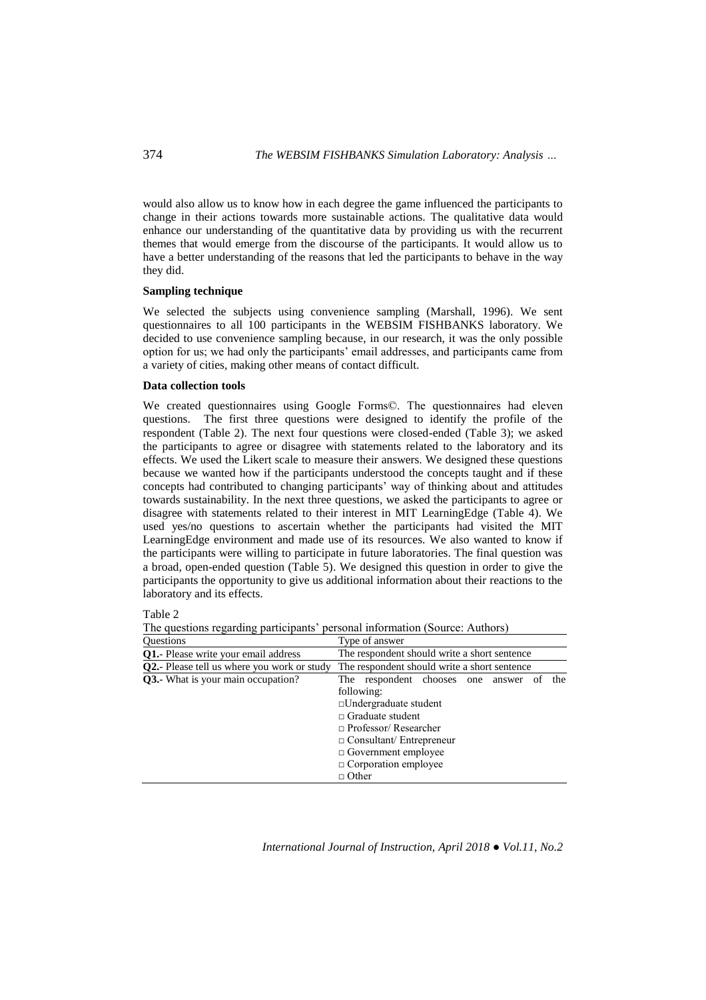would also allow us to know how in each degree the game influenced the participants to change in their actions towards more sustainable actions. The qualitative data would enhance our understanding of the quantitative data by providing us with the recurrent themes that would emerge from the discourse of the participants. It would allow us to have a better understanding of the reasons that led the participants to behave in the way they did.

# **Sampling technique**

We selected the subjects using convenience sampling (Marshall, 1996). We sent questionnaires to all 100 participants in the WEBSIM FISHBANKS laboratory. We decided to use convenience sampling because, in our research, it was the only possible option for us; we had only the participants' email addresses, and participants came from a variety of cities, making other means of contact difficult.

#### **Data collection tools**

We created questionnaires using Google Forms©. The questionnaires had eleven questions. The first three questions were designed to identify the profile of the respondent (Table 2). The next four questions were closed-ended (Table 3); we asked the participants to agree or disagree with statements related to the laboratory and its effects. We used the Likert scale to measure their answers. We designed these questions because we wanted how if the participants understood the concepts taught and if these concepts had contributed to changing participants' way of thinking about and attitudes towards sustainability. In the next three questions, we asked the participants to agree or disagree with statements related to their interest in MIT LearningEdge (Table 4). We used yes/no questions to ascertain whether the participants had visited the MIT LearningEdge environment and made use of its resources. We also wanted to know if the participants were willing to participate in future laboratories. The final question was a broad, open-ended question (Table 5). We designed this question in order to give the participants the opportunity to give us additional information about their reactions to the laboratory and its effects.

Table 2

The questions regarding participants' personal information (Source: Authors)

| <b>Ouestions</b>                                    | Type of answer                                       |  |  |  |  |  |  |
|-----------------------------------------------------|------------------------------------------------------|--|--|--|--|--|--|
| Q1.- Please write your email address                | The respondent should write a short sentence         |  |  |  |  |  |  |
| <b>Q2.</b> - Please tell us where you work or study | The respondent should write a short sentence         |  |  |  |  |  |  |
| Q3.- What is your main occupation?                  | respondent chooses one<br>the<br>The<br>answer<br>0Ī |  |  |  |  |  |  |
|                                                     | following:                                           |  |  |  |  |  |  |
|                                                     | $\Box$ Undergraduate student                         |  |  |  |  |  |  |
|                                                     | $\Box$ Graduate student                              |  |  |  |  |  |  |
|                                                     | $\Box$ Professor/ Researcher                         |  |  |  |  |  |  |
|                                                     | $\Box$ Consultant/ Entrepreneur                      |  |  |  |  |  |  |
|                                                     | $\Box$ Government employee                           |  |  |  |  |  |  |
|                                                     | $\Box$ Corporation employee                          |  |  |  |  |  |  |
|                                                     | $\Box$ Other                                         |  |  |  |  |  |  |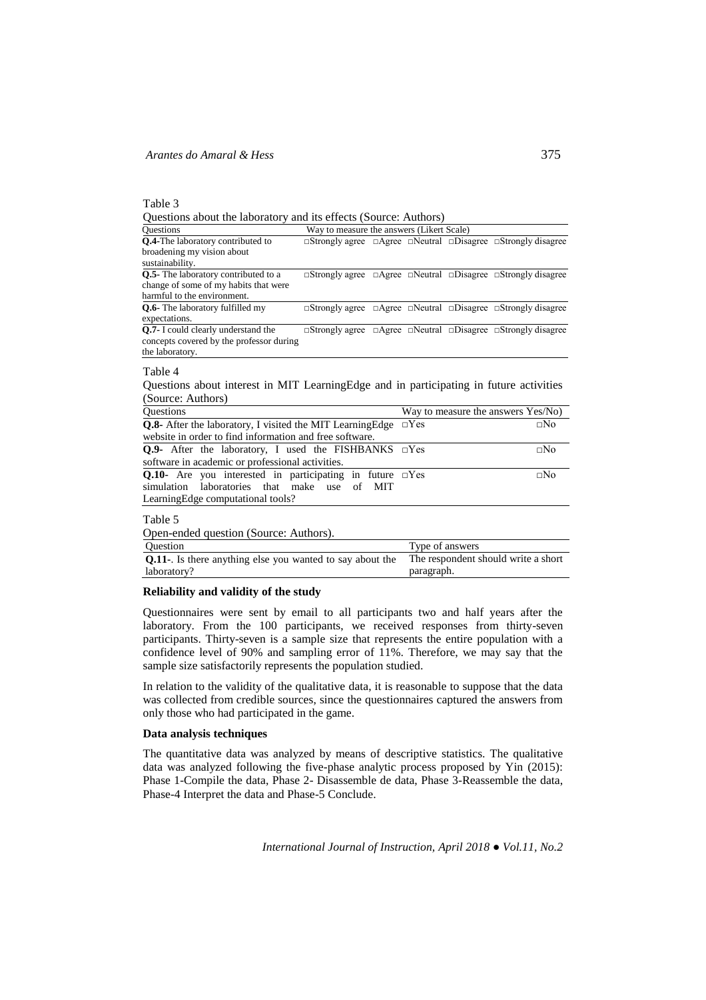Table 3

Questions about the laboratory and its effects (Source: Authors)

| <b>Questions</b>                                                                        | Way to measure the answers (Likert Scale) |  |            |  |                                                                                            |  |
|-----------------------------------------------------------------------------------------|-------------------------------------------|--|------------|--|--------------------------------------------------------------------------------------------|--|
| <b>Q.4-The laboratory contributed to</b>                                                |                                           |  |            |  | $\Box$ Strongly agree $\Box$ Agree $\Box$ Neutral $\Box$ Disagree $\Box$ Strongly disagree |  |
| broadening my vision about                                                              |                                           |  |            |  |                                                                                            |  |
| sustainability.                                                                         |                                           |  |            |  |                                                                                            |  |
| Q.5- The laboratory contributed to a                                                    |                                           |  |            |  | $\Box$ Strongly agree $\Box$ Agree $\Box$ Neutral $\Box$ Disagree $\Box$ Strongly disagree |  |
| change of some of my habits that were                                                   |                                           |  |            |  |                                                                                            |  |
| harmful to the environment.                                                             |                                           |  |            |  |                                                                                            |  |
| <b>O.6-</b> The laboratory fulfilled my                                                 |                                           |  |            |  | $\Box$ Strongly agree $\Box$ Agree $\Box$ Neutral $\Box$ Disagree $\Box$ Strongly disagree |  |
| expectations.                                                                           |                                           |  |            |  |                                                                                            |  |
| Q.7- I could clearly understand the                                                     |                                           |  |            |  | $\Box$ Strongly agree $\Box$ Agree $\Box$ Neutral $\Box$ Disagree $\Box$ Strongly disagree |  |
| concepts covered by the professor during                                                |                                           |  |            |  |                                                                                            |  |
| the laboratory.                                                                         |                                           |  |            |  |                                                                                            |  |
| Table 4                                                                                 |                                           |  |            |  |                                                                                            |  |
| Questions about interest in MIT Learning Edge and in participating in future activities |                                           |  |            |  |                                                                                            |  |
|                                                                                         |                                           |  |            |  |                                                                                            |  |
| (Source: Authors)                                                                       |                                           |  |            |  |                                                                                            |  |
| Questions                                                                               |                                           |  |            |  | Way to measure the answers Yes/No)                                                         |  |
| <b>O.8-</b> After the laboratory, I visited the MIT Learning Edge                       |                                           |  | $\Box$ Yes |  | $\square$ No                                                                               |  |
|                                                                                         |                                           |  |            |  |                                                                                            |  |

| <b>O.8-</b> After the laboratory, I visited the MIT Learning Edge $\Box$ Yes |  | $\Box$ No |  |  |  |
|------------------------------------------------------------------------------|--|-----------|--|--|--|
| website in order to find information and free software.                      |  |           |  |  |  |
| <b>Q.9-</b> After the laboratory, I used the FISHBANKS $\Box$ Yes            |  | $\Box$ No |  |  |  |
| software in academic or professional activities.                             |  |           |  |  |  |
| <b>Q.10-</b> Are you interested in participating in future $\Box$ Yes        |  | $\Box$ No |  |  |  |
| simulation laboratories that make use of MIT                                 |  |           |  |  |  |
| Learning Edge computational tools?                                           |  |           |  |  |  |
|                                                                              |  |           |  |  |  |

Table 5

Open-ended question (Source: Authors).

| Question                                                          | Type of answers                     |
|-------------------------------------------------------------------|-------------------------------------|
| <b>Q.11-</b> . Is there anything else you wanted to say about the | The respondent should write a short |
| laboratory?                                                       | paragraph.                          |

# **Reliability and validity of the study**

Questionnaires were sent by email to all participants two and half years after the laboratory. From the 100 participants, we received responses from thirty-seven participants. Thirty-seven is a sample size that represents the entire population with a confidence level of 90% and sampling error of 11%. Therefore, we may say that the sample size satisfactorily represents the population studied.

In relation to the validity of the qualitative data, it is reasonable to suppose that the data was collected from credible sources, since the questionnaires captured the answers from only those who had participated in the game.

# **Data analysis techniques**

The quantitative data was analyzed by means of descriptive statistics. The qualitative data was analyzed following the five-phase analytic process proposed by Yin (2015): Phase 1-Compile the data, Phase 2- Disassemble de data, Phase 3-Reassemble the data, Phase-4 Interpret the data and Phase-5 Conclude.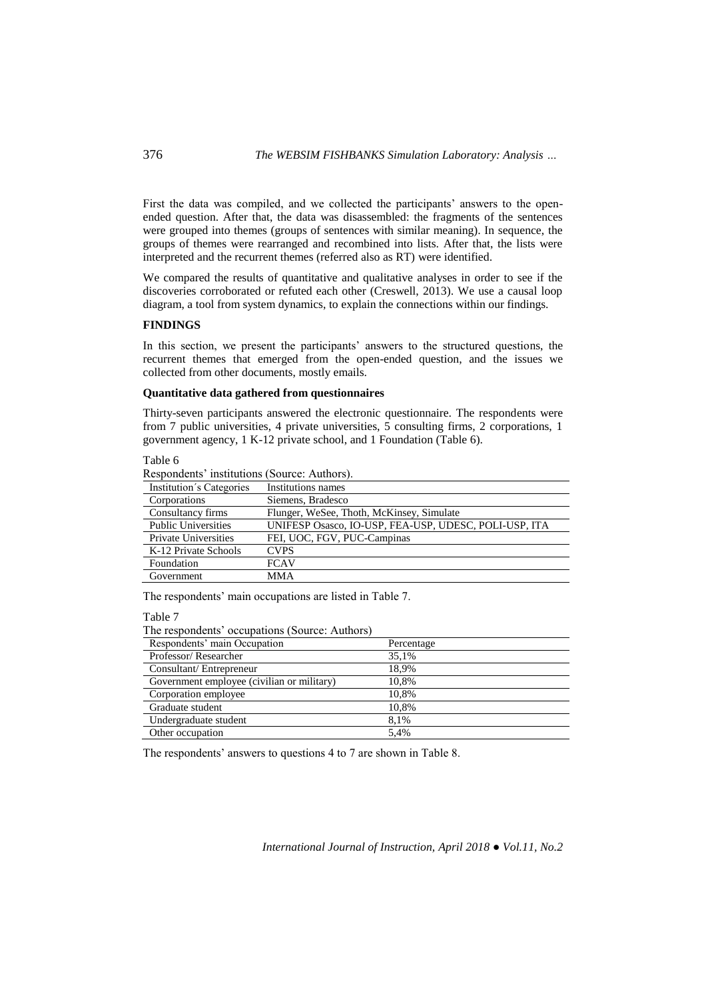First the data was compiled, and we collected the participants' answers to the openended question. After that, the data was disassembled: the fragments of the sentences were grouped into themes (groups of sentences with similar meaning). In sequence, the groups of themes were rearranged and recombined into lists. After that, the lists were interpreted and the recurrent themes (referred also as RT) were identified.

We compared the results of quantitative and qualitative analyses in order to see if the discoveries corroborated or refuted each other (Creswell, 2013). We use a causal loop diagram, a tool from system dynamics, to explain the connections within our findings.

## **FINDINGS**

In this section, we present the participants' answers to the structured questions, the recurrent themes that emerged from the open-ended question, and the issues we collected from other documents, mostly emails.

#### **Quantitative data gathered from questionnaires**

Thirty-seven participants answered the electronic questionnaire. The respondents were from 7 public universities, 4 private universities, 5 consulting firms, 2 corporations, 1 government agency, 1 K-12 private school, and 1 Foundation (Table 6).

| able 6 |  |
|--------|--|
|--------|--|

Respondents' institutions (Source: Authors).

| Institution's Categories    | Institutions names                                    |
|-----------------------------|-------------------------------------------------------|
| Corporations                | Siemens, Bradesco                                     |
| Consultancy firms           | Flunger, WeSee, Thoth, McKinsey, Simulate             |
| <b>Public Universities</b>  | UNIFESP Osasco, IO-USP, FEA-USP, UDESC, POLI-USP, ITA |
| <b>Private Universities</b> | FEI, UOC, FGV, PUC-Campinas                           |
| K-12 Private Schools        | <b>CVPS</b>                                           |
| Foundation                  | <b>FCAV</b>                                           |
| Government                  | <b>MMA</b>                                            |
|                             |                                                       |

The respondents' main occupations are listed in Table 7.

Table 7

The respondents' occupations (Source: Authors)

| Respondents' main Occupation               | Percentage |
|--------------------------------------------|------------|
| Professor/Researcher                       | 35.1%      |
| Consultant/Entrepreneur                    | 18,9%      |
| Government employee (civilian or military) | 10.8%      |
| Corporation employee                       | 10.8%      |
| Graduate student                           | 10,8%      |
| Undergraduate student                      | 8.1%       |
| Other occupation                           | 5.4%       |

The respondents' answers to questions 4 to 7 are shown in Table 8.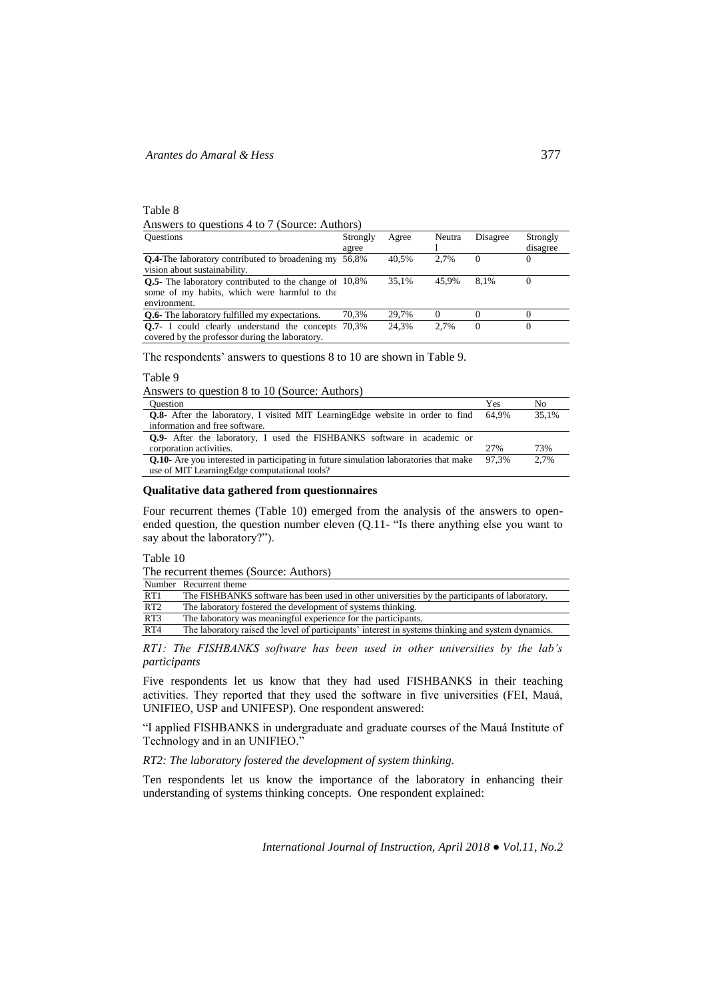# Table 8 Answers to questions 4 to 7 (Source: Authors)

| <b>Questions</b>                                              | Strongly | Agree | Neutra | Disagree | Strongly |
|---------------------------------------------------------------|----------|-------|--------|----------|----------|
|                                                               | agree    |       |        |          | disagree |
| <b>Q.4-The laboratory contributed to broadening my</b>        | 56.8%    | 40.5% | 2.7%   | $\Omega$ | $_{0}$   |
| vision about sustainability.                                  |          |       |        |          |          |
| <b>Q.5-</b> The laboratory contributed to the change of 10,8% |          | 35.1% | 45.9%  | 8.1%     |          |
| some of my habits, which were harmful to the                  |          |       |        |          |          |
| environment.                                                  |          |       |        |          |          |
| <b>O.6-</b> The laboratory fulfilled my expectations.         | 70.3%    | 29.7% |        |          |          |
| <b>Q.7-</b> I could clearly understand the concepts 70,3%     |          | 24.3% | 2.7%   | $\Omega$ |          |
| covered by the professor during the laboratory.               |          |       |        |          |          |

The respondents' answers to questions 8 to 10 are shown in Table 9.

Table 9

Answers to question 8 to 10 (Source: Authors)

| <b>Ouestion</b>                                                                              | Yes   | No    |
|----------------------------------------------------------------------------------------------|-------|-------|
| <b>Q.8-</b> After the laboratory, I visited MIT Learning Edge website in order to find       | 64.9% | 35.1% |
| information and free software.                                                               |       |       |
| <b>Q.9-</b> After the laboratory, I used the FISHBANKS software in academic or               |       |       |
| corporation activities.                                                                      | 27%   | 73%   |
| <b>Q.10-</b> Are you interested in participating in future simulation laboratories that make | 97.3% | 2.7%  |
| use of MIT Learning Edge computational tools?                                                |       |       |

# **Qualitative data gathered from questionnaires**

Four recurrent themes (Table 10) emerged from the analysis of the answers to openended question, the question number eleven (Q.11- "Is there anything else you want to say about the laboratory?").

Table 10

The recurrent themes (Source: Authors)

|     | Number Recurrent theme                                                                             |
|-----|----------------------------------------------------------------------------------------------------|
| RT1 | The FISHBANKS software has been used in other universities by the participants of laboratory.      |
| RT2 | The laboratory fostered the development of systems thinking.                                       |
| RT3 | The laboratory was meaningful experience for the participants.                                     |
| RT4 | The laboratory raised the level of participants' interest in systems thinking and system dynamics. |

*RT1: The FISHBANKS software has been used in other universities by the lab's participants* 

Five respondents let us know that they had used FISHBANKS in their teaching activities. They reported that they used the software in five universities (FEI, Mauá, UNIFIEO, USP and UNIFESP). One respondent answered:

"I applied FISHBANKS in undergraduate and graduate courses of the Mauá Institute of Technology and in an UNIFIEO."

*RT2: The laboratory fostered the development of system thinking.* 

Ten respondents let us know the importance of the laboratory in enhancing their understanding of systems thinking concepts. One respondent explained: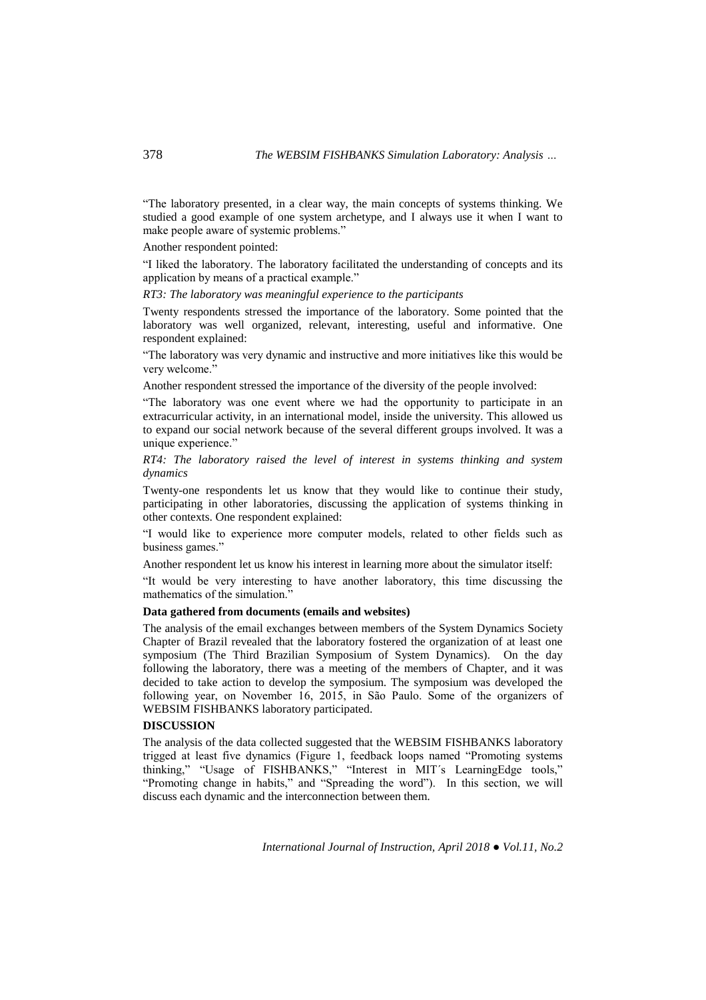"The laboratory presented, in a clear way, the main concepts of systems thinking. We studied a good example of one system archetype, and I always use it when I want to make people aware of systemic problems."

Another respondent pointed:

"I liked the laboratory. The laboratory facilitated the understanding of concepts and its application by means of a practical example."

*RT3: The laboratory was meaningful experience to the participants*

Twenty respondents stressed the importance of the laboratory. Some pointed that the laboratory was well organized, relevant, interesting, useful and informative. One respondent explained:

"The laboratory was very dynamic and instructive and more initiatives like this would be very welcome."

Another respondent stressed the importance of the diversity of the people involved:

"The laboratory was one event where we had the opportunity to participate in an extracurricular activity, in an international model, inside the university. This allowed us to expand our social network because of the several different groups involved. It was a unique experience."

*RT4: The laboratory raised the level of interest in systems thinking and system dynamics*

Twenty-one respondents let us know that they would like to continue their study, participating in other laboratories, discussing the application of systems thinking in other contexts. One respondent explained:

"I would like to experience more computer models, related to other fields such as business games."

Another respondent let us know his interest in learning more about the simulator itself:

"It would be very interesting to have another laboratory, this time discussing the mathematics of the simulation."

# **Data gathered from documents (emails and websites)**

The analysis of the email exchanges between members of the System Dynamics Society Chapter of Brazil revealed that the laboratory fostered the organization of at least one symposium (The Third Brazilian Symposium of System Dynamics). On the day following the laboratory, there was a meeting of the members of Chapter, and it was decided to take action to develop the symposium. The symposium was developed the following year, on November 16, 2015, in São Paulo. Some of the organizers of WEBSIM FISHBANKS laboratory participated.

# **DISCUSSION**

The analysis of the data collected suggested that the WEBSIM FISHBANKS laboratory trigged at least five dynamics (Figure 1, feedback loops named "Promoting systems thinking," "Usage of FISHBANKS," "Interest in MIT´s LearningEdge tools," "Promoting change in habits," and "Spreading the word"). In this section, we will discuss each dynamic and the interconnection between them.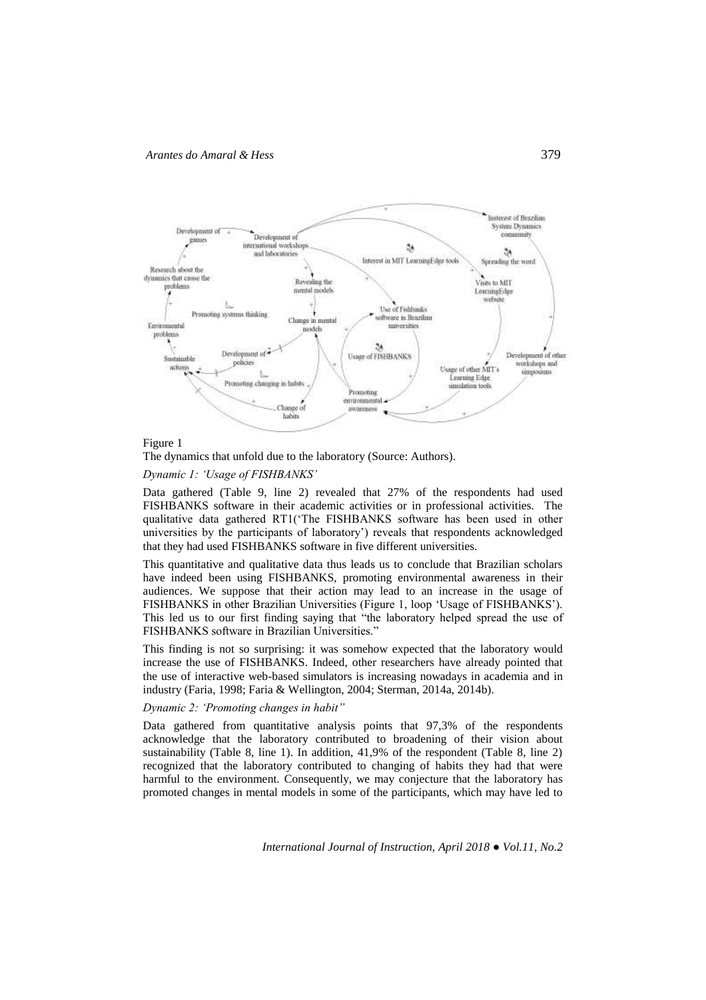

#### Figure 1

The dynamics that unfold due to the laboratory (Source: Authors).

# *Dynamic 1: 'Usage of FISHBANKS'*

Data gathered (Table 9, line 2) revealed that 27% of the respondents had used FISHBANKS software in their academic activities or in professional activities. The qualitative data gathered RT1('The FISHBANKS software has been used in other universities by the participants of laboratory') reveals that respondents acknowledged that they had used FISHBANKS software in five different universities.

This quantitative and qualitative data thus leads us to conclude that Brazilian scholars have indeed been using FISHBANKS, promoting environmental awareness in their audiences. We suppose that their action may lead to an increase in the usage of FISHBANKS in other Brazilian Universities (Figure 1, loop 'Usage of FISHBANKS'). This led us to our first finding saying that "the laboratory helped spread the use of FISHBANKS software in Brazilian Universities."

This finding is not so surprising: it was somehow expected that the laboratory would increase the use of FISHBANKS. Indeed, other researchers have already pointed that the use of interactive web-based simulators is increasing nowadays in academia and in industry (Faria, 1998; Faria & Wellington, 2004; Sterman, 2014a, 2014b).

# *Dynamic 2: 'Promoting changes in habit"*

Data gathered from quantitative analysis points that 97,3% of the respondents acknowledge that the laboratory contributed to broadening of their vision about sustainability (Table 8, line 1). In addition, 41,9% of the respondent (Table 8, line 2) recognized that the laboratory contributed to changing of habits they had that were harmful to the environment. Consequently, we may conjecture that the laboratory has promoted changes in mental models in some of the participants, which may have led to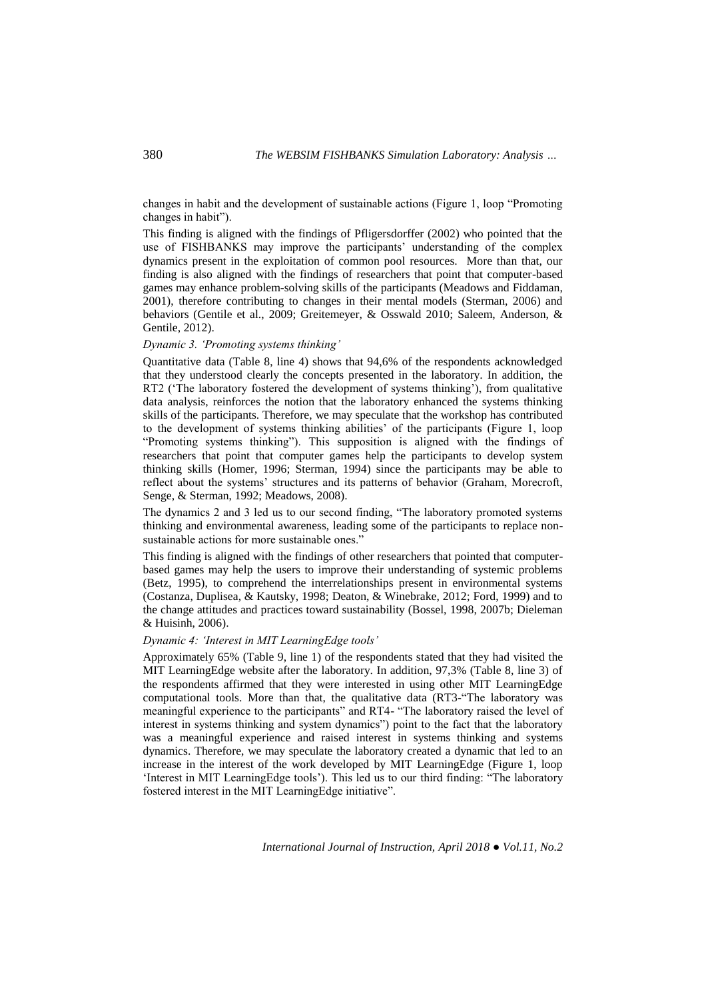changes in habit and the development of sustainable actions (Figure 1, loop "Promoting changes in habit").

This finding is aligned with the findings of Pfligersdorffer (2002) who pointed that the use of FISHBANKS may improve the participants' understanding of the complex dynamics present in the exploitation of common pool resources. More than that, our finding is also aligned with the findings of researchers that point that computer-based games may enhance problem-solving skills of the participants (Meadows and Fiddaman, 2001), therefore contributing to changes in their mental models (Sterman, 2006) and behaviors (Gentile et al., 2009; Greitemeyer, & Osswald 2010; Saleem, Anderson, & Gentile, 2012).

# *Dynamic 3. 'Promoting systems thinking'*

Quantitative data (Table 8, line 4) shows that 94,6% of the respondents acknowledged that they understood clearly the concepts presented in the laboratory. In addition, the RT2 ('The laboratory fostered the development of systems thinking'), from qualitative data analysis, reinforces the notion that the laboratory enhanced the systems thinking skills of the participants. Therefore, we may speculate that the workshop has contributed to the development of systems thinking abilities' of the participants (Figure 1, loop "Promoting systems thinking"). This supposition is aligned with the findings of researchers that point that computer games help the participants to develop system thinking skills (Homer, 1996; Sterman, 1994) since the participants may be able to reflect about the systems' structures and its patterns of behavior (Graham, Morecroft, Senge, & Sterman, 1992; Meadows, 2008).

The dynamics 2 and 3 led us to our second finding, "The laboratory promoted systems thinking and environmental awareness, leading some of the participants to replace nonsustainable actions for more sustainable ones."

This finding is aligned with the findings of other researchers that pointed that computerbased games may help the users to improve their understanding of systemic problems (Betz, 1995), to comprehend the interrelationships present in environmental systems (Costanza, Duplisea, & Kautsky, 1998; Deaton, & Winebrake, 2012; Ford, 1999) and to the change attitudes and practices toward sustainability (Bossel, 1998, 2007b; Dieleman & Huisinh, 2006).

## *Dynamic 4: 'Interest in MIT LearningEdge tools'*

Approximately 65% (Table 9, line 1) of the respondents stated that they had visited the MIT LearningEdge website after the laboratory. In addition, 97,3% (Table 8, line 3) of the respondents affirmed that they were interested in using other MIT LearningEdge computational tools. More than that, the qualitative data (RT3-"The laboratory was meaningful experience to the participants" and RT4- "The laboratory raised the level of interest in systems thinking and system dynamics") point to the fact that the laboratory was a meaningful experience and raised interest in systems thinking and systems dynamics. Therefore, we may speculate the laboratory created a dynamic that led to an increase in the interest of the work developed by MIT LearningEdge (Figure 1, loop 'Interest in MIT LearningEdge tools'). This led us to our third finding: "The laboratory fostered interest in the MIT LearningEdge initiative".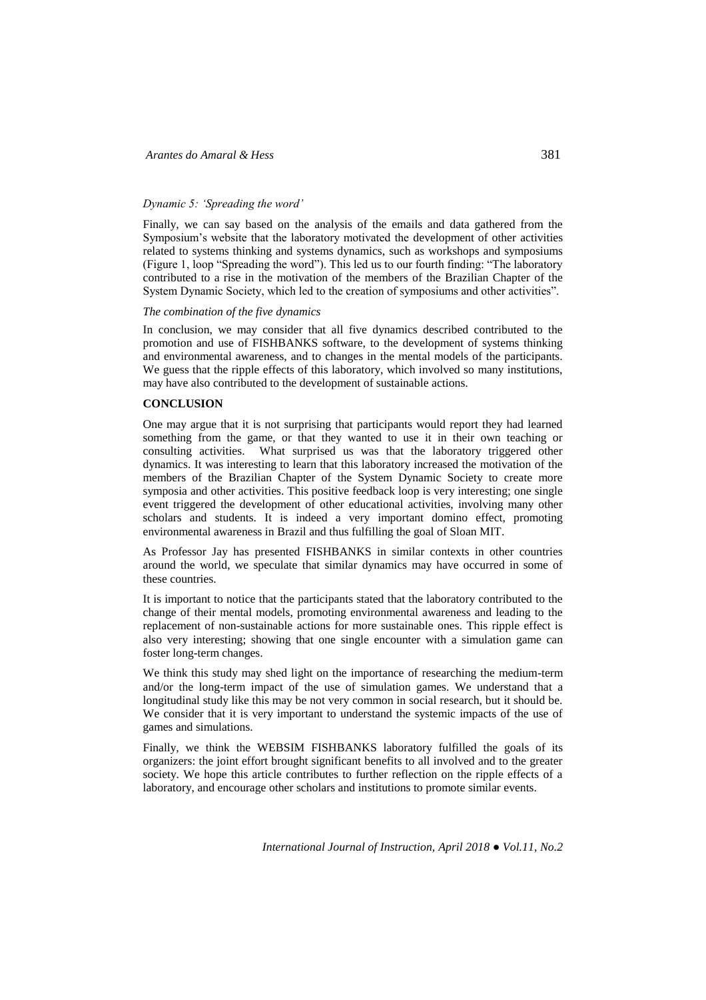## *Dynamic 5: 'Spreading the word'*

Finally, we can say based on the analysis of the emails and data gathered from the Symposium's website that the laboratory motivated the development of other activities related to systems thinking and systems dynamics, such as workshops and symposiums (Figure 1, loop "Spreading the word"). This led us to our fourth finding: "The laboratory contributed to a rise in the motivation of the members of the Brazilian Chapter of the System Dynamic Society, which led to the creation of symposiums and other activities".

#### *The combination of the five dynamics*

In conclusion, we may consider that all five dynamics described contributed to the promotion and use of FISHBANKS software, to the development of systems thinking and environmental awareness, and to changes in the mental models of the participants. We guess that the ripple effects of this laboratory, which involved so many institutions, may have also contributed to the development of sustainable actions.

#### **CONCLUSION**

One may argue that it is not surprising that participants would report they had learned something from the game, or that they wanted to use it in their own teaching or consulting activities. What surprised us was that the laboratory triggered other dynamics. It was interesting to learn that this laboratory increased the motivation of the members of the Brazilian Chapter of the System Dynamic Society to create more symposia and other activities. This positive feedback loop is very interesting; one single event triggered the development of other educational activities, involving many other scholars and students. It is indeed a very important domino effect, promoting environmental awareness in Brazil and thus fulfilling the goal of Sloan MIT.

As Professor Jay has presented FISHBANKS in similar contexts in other countries around the world, we speculate that similar dynamics may have occurred in some of these countries.

It is important to notice that the participants stated that the laboratory contributed to the change of their mental models, promoting environmental awareness and leading to the replacement of non-sustainable actions for more sustainable ones. This ripple effect is also very interesting; showing that one single encounter with a simulation game can foster long-term changes.

We think this study may shed light on the importance of researching the medium-term and/or the long-term impact of the use of simulation games. We understand that a longitudinal study like this may be not very common in social research, but it should be. We consider that it is very important to understand the systemic impacts of the use of games and simulations.

Finally, we think the WEBSIM FISHBANKS laboratory fulfilled the goals of its organizers: the joint effort brought significant benefits to all involved and to the greater society. We hope this article contributes to further reflection on the ripple effects of a laboratory, and encourage other scholars and institutions to promote similar events.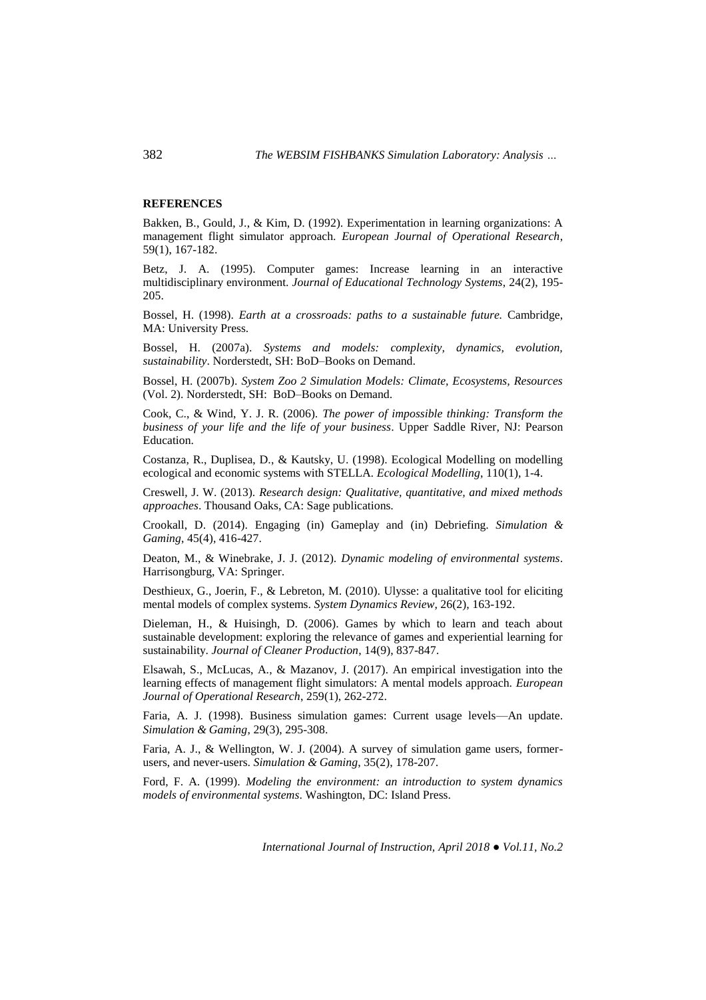# **REFERENCES**

Bakken, B., Gould, J., & Kim, D. (1992). Experimentation in learning organizations: A management flight simulator approach. *European Journal of Operational Research*, 59(1), 167-182.

Betz, J. A. (1995). Computer games: Increase learning in an interactive multidisciplinary environment. *Journal of Educational Technology Systems*, 24(2), 195- 205.

Bossel, H. (1998). *Earth at a crossroads: paths to a sustainable future.* Cambridge, MA: University Press.

Bossel, H. (2007a). *Systems and models: complexity, dynamics, evolution, sustainability*. Norderstedt, SH: BoD–Books on Demand.

Bossel, H. (2007b). *System Zoo 2 Simulation Models: Climate, Ecosystems, Resources* (Vol. 2). Norderstedt, SH: BoD–Books on Demand.

Cook, C., & Wind, Y. J. R. (2006). *The power of impossible thinking: Transform the business of your life and the life of your business*. Upper Saddle River, NJ: Pearson Education.

Costanza, R., Duplisea, D., & Kautsky, U. (1998). Ecological Modelling on modelling ecological and economic systems with STELLA. *Ecological Modelling*, 110(1), 1-4.

Creswell, J. W. (2013). *Research design: Qualitative, quantitative, and mixed methods approaches*. Thousand Oaks, CA: Sage publications.

Crookall, D. (2014). Engaging (in) Gameplay and (in) Debriefing. *Simulation & Gaming*, 45(4), 416-427.

Deaton, M., & Winebrake, J. J. (2012). *Dynamic modeling of environmental systems*. Harrisongburg, VA: Springer.

Desthieux, G., Joerin, F., & Lebreton, M. (2010). Ulysse: a qualitative tool for eliciting mental models of complex systems. *System Dynamics Review*, 26(2), 163-192.

Dieleman, H., & Huisingh, D. (2006). Games by which to learn and teach about sustainable development: exploring the relevance of games and experiential learning for sustainability. *Journal of Cleaner Production*, 14(9), 837-847.

Elsawah, S., McLucas, A., & Mazanov, J. (2017). An empirical investigation into the learning effects of management flight simulators: A mental models approach. *European Journal of Operational Research*, 259(1), 262-272.

Faria, A. J. (1998). Business simulation games: Current usage levels—An update. *Simulation & Gaming*, 29(3), 295-308.

Faria, A. J., & Wellington, W. J. (2004). A survey of simulation game users, formerusers, and never-users. *Simulation & Gaming*, 35(2), 178-207.

Ford, F. A. (1999). *Modeling the environment: an introduction to system dynamics models of environmental systems*. Washington, DC: Island Press.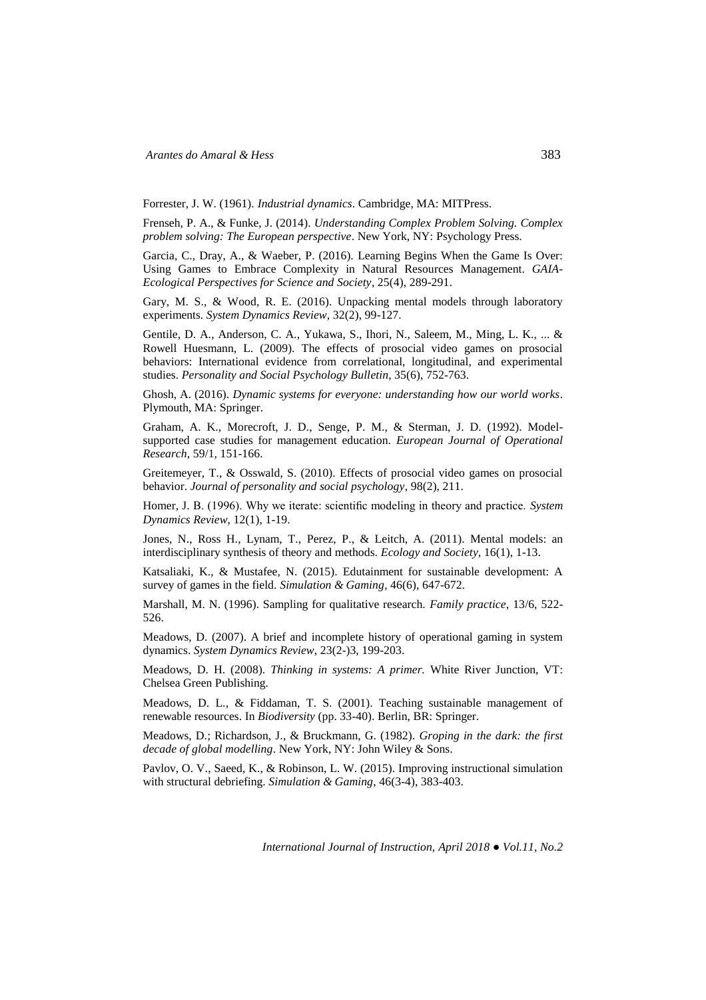Forrester, J. W. (1961). *Industrial dynamics*. Cambridge, MA: MITPress.

Frenseh, P. A., & Funke, J. (2014). *Understanding Complex Problem Solving. Complex problem solving: The European perspective*. New York, NY: Psychology Press.

Garcia, C., Dray, A., & Waeber, P. (2016). Learning Begins When the Game Is Over: Using Games to Embrace Complexity in Natural Resources Management. *GAIA-Ecological Perspectives for Science and Society*, 25(4), 289-291.

Gary, M. S., & Wood, R. E. (2016). Unpacking mental models through laboratory experiments. *System Dynamics Review*, 32(2), 99-127.

Gentile, D. A., Anderson, C. A., Yukawa, S., Ihori, N., Saleem, M., Ming, L. K., ... & Rowell Huesmann, L. (2009). The effects of prosocial video games on prosocial behaviors: International evidence from correlational, longitudinal, and experimental studies. *Personality and Social Psychology Bulletin*, 35(6), 752-763.

Ghosh, A. (2016). *Dynamic systems for everyone: understanding how our world works*. Plymouth, MA: Springer.

Graham, A. K., Morecroft, J. D., Senge, P. M., & Sterman, J. D. (1992). Modelsupported case studies for management education. *European Journal of Operational Research*, 59/1, 151-166.

Greitemeyer, T., & Osswald, S. (2010). Effects of prosocial video games on prosocial behavior. *Journal of personality and social psychology*, 98(2), 211.

Homer, J. B. (1996). Why we iterate: scientific modeling in theory and practice. *System Dynamics Review*, 12(1), 1-19.

Jones, N., Ross H., Lynam, T., Perez, P., & Leitch, A. (2011). Mental models: an interdisciplinary synthesis of theory and methods. *Ecology and Society*, 16(1), 1-13.

Katsaliaki, K., & Mustafee, N. (2015). Edutainment for sustainable development: A survey of games in the field. *Simulation & Gaming*, 46(6), 647-672.

Marshall, M. N. (1996). Sampling for qualitative research. *Family practice*, 13/6, 522- 526.

Meadows, D. (2007). A brief and incomplete history of operational gaming in system dynamics. *System Dynamics Review*, 23(2-)3, 199-203.

Meadows, D. H. (2008). *Thinking in systems: A primer.* White River Junction, VT: Chelsea Green Publishing.

Meadows, D. L., & Fiddaman, T. S. (2001). Teaching sustainable management of renewable resources. In *Biodiversity* (pp. 33-40). Berlin, BR: Springer.

Meadows, D.; Richardson, J., & Bruckmann, G. (1982). *Groping in the dark: the first decade of global modelling*. New York, NY: John Wiley & Sons.

Pavlov, O. V., Saeed, K., & Robinson, L. W. (2015). Improving instructional simulation with structural debriefing. *Simulation & Gaming*, 46(3-4), 383-403.